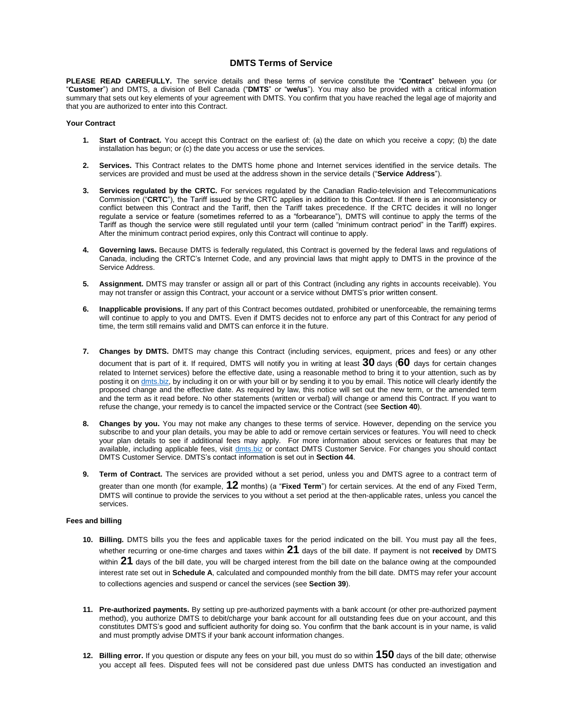## **DMTS Terms of Service**

**PLEASE READ CAREFULLY.** The service details and these terms of service constitute the "**Contract**" between you (or "**Customer**") and DMTS, a division of Bell Canada ("**DMTS**" or "**we/us**"). You may also be provided with a critical information summary that sets out key elements of your agreement with DMTS. You confirm that you have reached the legal age of majority and that you are authorized to enter into this Contract.

#### **Your Contract**

- **1. Start of Contract.** You accept this Contract on the earliest of: (a) the date on which you receive a copy; (b) the date installation has begun; or (c) the date you access or use the services.
- **2. Services.** This Contract relates to the DMTS home phone and Internet services identified in the service details. The services are provided and must be used at the address shown in the service details ("**Service Address**").
- **3. Services regulated by the CRTC.** For services regulated by the Canadian Radio-television and Telecommunications Commission ("**CRTC**"), the Tariff issued by the CRTC applies in addition to this Contract. If there is an inconsistency or conflict between this Contract and the Tariff, then the Tariff takes precedence. If the CRTC decides it will no longer regulate a service or feature (sometimes referred to as a "forbearance"), DMTS will continue to apply the terms of the Tariff as though the service were still regulated until your term (called "minimum contract period" in the Tariff) expires. After the minimum contract period expires, only this Contract will continue to apply.
- **4. Governing laws.** Because DMTS is federally regulated, this Contract is governed by the federal laws and regulations of Canada, including the CRTC's Internet Code, and any provincial laws that might apply to DMTS in the province of the Service Address.
- **5. Assignment.** DMTS may transfer or assign all or part of this Contract (including any rights in accounts receivable). You may not transfer or assign this Contract, your account or a service without DMTS's prior written consent.
- **6. Inapplicable provisions.** If any part of this Contract becomes outdated, prohibited or unenforceable, the remaining terms will continue to apply to you and DMTS. Even if DMTS decides not to enforce any part of this Contract for any period of time, the term still remains valid and DMTS can enforce it in the future.
- **7. Changes by DMTS.** DMTS may change this Contract (including services, equipment, prices and fees) or any other document that is part of it. If required, DMTS will notify you in writing at least **30** days (**60** days for certain changes related to Internet services) before the effective date, using a reasonable method to bring it to your attention, such as by posting it o[n dmts.biz,](https://www.dmts.biz/) by including it on or with your bill or by sending it to you by email. This notice will clearly identify the proposed change and the effective date. As required by law, this notice will set out the new term, or the amended term and the term as it read before. No other statements (written or verbal) will change or amend this Contract. If you want to refuse the change, your remedy is to cancel the impacted service or the Contract (see **Section 40**).
- **8. Changes by you.** You may not make any changes to these terms of service. However, depending on the service you subscribe to and your plan details, you may be able to add or remove certain services or features. You will need to check your plan details to see if additional fees may apply. For more information about services or features that may be available, including applicable fees, visit [dmts.biz](https://www.dmts.biz/) or contact DMTS Customer Service. For changes you should contact DMTS Customer Service. DMTS's contact information is set out in **Section 44**.
- **9. Term of Contract.** The services are provided without a set period, unless you and DMTS agree to a contract term of greater than one month (for example, **12** months) (a "**Fixed Term**") for certain services. At the end of any Fixed Term, DMTS will continue to provide the services to you without a set period at the then-applicable rates, unless you cancel the services.

## <span id="page-0-0"></span>**Fees and billing**

- **10. Billing.** DMTS bills you the fees and applicable taxes for the period indicated on the bill. You must pay all the fees, whether recurring or one-time charges and taxes within **21** days of the bill date. If payment is not **received** by DMTS within **21** days of the bill date, you will be charged interest from the bill date on the balance owing at the compounded interest rate set out in **Schedule A**, calculated and compounded monthly from the bill date. DMTS may refer your account to collections agencies and suspend or cancel the services (see **Section [39](#page-3-0)**).
- **11. Pre-authorized payments.** By setting up pre-authorized payments with a bank account (or other pre-authorized payment method), you authorize DMTS to debit/charge your bank account for all outstanding fees due on your account, and this constitutes DMTS's good and sufficient authority for doing so. You confirm that the bank account is in your name, is valid and must promptly advise DMTS if your bank account information changes.
- **12. Billing error.** If you question or dispute any fees on your bill, you must do so within **150** days of the bill date; otherwise you accept all fees. Disputed fees will not be considered past due unless DMTS has conducted an investigation and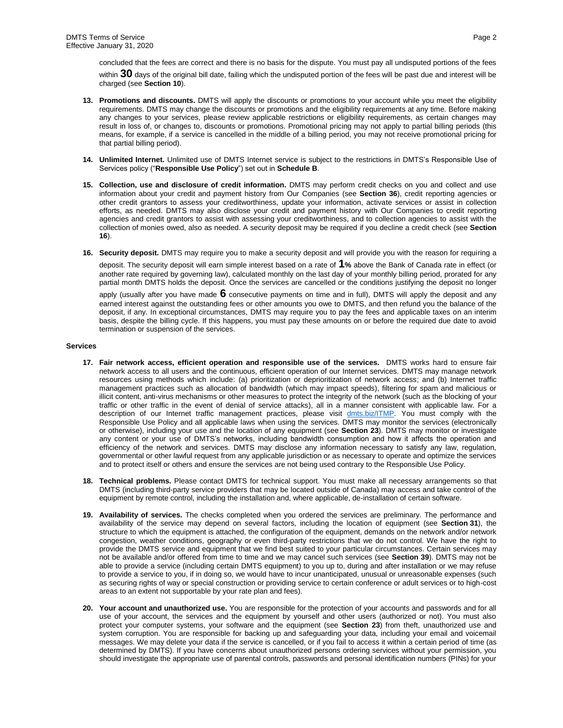concluded that the fees are correct and there is no basis for the dispute. You must pay all undisputed portions of the fees within **30** days of the original bill date, failing which the undisputed portion of the fees will be past due and interest will be charged (see **Section [10](#page-0-0)**).

- **13. Promotions and discounts.** DMTS will apply the discounts or promotions to your account while you meet the eligibility requirements. DMTS may change the discounts or promotions and the eligibility requirements at any time. Before making any changes to your services, please review applicable restrictions or eligibility requirements, as certain changes may result in loss of, or changes to, discounts or promotions. Promotional pricing may not apply to partial billing periods (this means, for example, if a service is cancelled in the middle of a billing period, you may not receive promotional pricing for that partial billing period).
- **14. Unlimited Internet.** Unlimited use of DMTS Internet service is subject to the restrictions in DMTS's Responsible Use of Services policy ("**Responsible Use Policy**") set out in **Schedule B**.
- **15. Collection, use and disclosure of credit information.** DMTS may perform credit checks on you and collect and use information about your credit and payment history from Our Companies (see **Section 36**), credit reporting agencies or other credit grantors to assess your creditworthiness, update your information, activate services or assist in collection efforts, as needed. DMTS may also disclose your credit and payment history with Our Companies to credit reporting agencies and credit grantors to assist with assessing your creditworthiness, and to collection agencies to assist with the collection of monies owed, also as needed. A security deposit may be required if you decline a credit check (see **Section 16**).
- <span id="page-1-0"></span>**16. Security deposit.** DMTS may require you to make a security deposit and will provide you with the reason for requiring a

deposit. The security deposit will earn simple interest based on a rate of **1%** above the Bank of Canada rate in effect (or another rate required by governing law), calculated monthly on the last day of your monthly billing period, prorated for any partial month DMTS holds the deposit. Once the services are cancelled or the conditions justifying the deposit no longer

apply (usually after you have made **6** consecutive payments on time and in full), DMTS will apply the deposit and any earned interest against the outstanding fees or other amounts you owe to DMTS, and then refund you the balance of the deposit, if any. In exceptional circumstances, DMTS may require you to pay the fees and applicable taxes on an interim basis, despite the billing cycle. If this happens, you must pay these amounts on or before the required due date to avoid termination or suspension of the services.

### **Services**

- **17. Fair network access, efficient operation and responsible use of the services.** DMTS works hard to ensure fair network access to all users and the continuous, efficient operation of our Internet services. DMTS may manage network resources using methods which include: (a) prioritization or deprioritization of network access; and (b) Internet traffic management practices such as allocation of bandwidth (which may impact speeds), filtering for spam and malicious or illicit content, anti-virus mechanisms or other measures to protect the integrity of the network (such as the blocking of your traffic or other traffic in the event of denial of service attacks), all in a manner consistent with applicable law. For a description of our Internet traffic management practices, please visit [dmts.biz/ITMP.](https://www.dmts.biz/ITMP) You must comply with the Responsible Use Policy and all applicable laws when using the services. DMTS may monitor the services (electronically or otherwise), including your use and the location of any equipment (see **Section 23**). DMTS may monitor or investigate any content or your use of DMTS's networks, including bandwidth consumption and how it affects the operation and efficiency of the network and services. DMTS may disclose any information necessary to satisfy any law, regulation, governmental or other lawful request from any applicable jurisdiction or as necessary to operate and optimize the services and to protect itself or others and ensure the services are not being used contrary to the Responsible Use Policy.
- **18. Technical problems.** Please contact DMTS for technical support. You must make all necessary arrangements so that DMTS (including third-party service providers that may be located outside of Canada) may access and take control of the equipment by remote control, including the installation and, where applicable, de-installation of certain software.
- **19. Availability of services.** The checks completed when you ordered the services are preliminary. The performance and availability of the service may depend on several factors, including the location of equipment (see **Section [31](#page-2-0)**), the structure to which the equipment is attached, the configuration of the equipment, demands on the network and/or network congestion, weather conditions, geography or even third-party restrictions that we do not control. We have the right to provide the DMTS service and equipment that we find best suited to your particular circumstances. Certain services may not be available and/or offered from time to time and we may cancel such services (see **Section [39](#page-3-0)**). DMTS may not be able to provide a service (including certain DMTS equipment) to you up to, during and after installation or we may refuse to provide a service to you, if in doing so, we would have to incur unanticipated, unusual or unreasonable expenses (such as securing rights of way or special construction or providing service to certain conference or adult services or to high-cost areas to an extent not supportable by your rate plan and fees).
- **20. Your account and unauthorized use.** You are responsible for the protection of your accounts and passwords and for all use of your account, the services and the equipment by yourself and other users (authorized or not). You must also protect your computer systems, your software and the equipment (see **Section 23**) from theft, unauthorized use and system corruption. You are responsible for backing up and safeguarding your data, including your email and voicemail messages. We may delete your data if the service is cancelled, or if you fail to access it within a certain period of time (as determined by DMTS). If you have concerns about unauthorized persons ordering services without your permission, you should investigate the appropriate use of parental controls, passwords and personal identification numbers (PINs) for your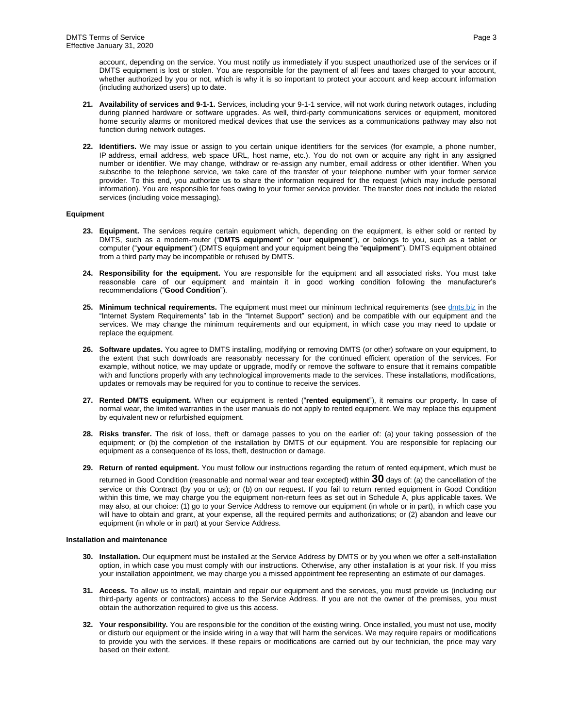account, depending on the service. You must notify us immediately if you suspect unauthorized use of the services or if DMTS equipment is lost or stolen. You are responsible for the payment of all fees and taxes charged to your account, whether authorized by you or not, which is why it is so important to protect your account and keep account information (including authorized users) up to date.

- **21. Availability of services and 9-1-1.** Services, including your 9-1-1 service, will not work during network outages, including during planned hardware or software upgrades. As well, third-party communications services or equipment, monitored home security alarms or monitored medical devices that use the services as a communications pathway may also not function during network outages.
- **22. Identifiers.** We may issue or assign to you certain unique identifiers for the services (for example, a phone number, IP address, email address, web space URL, host name, etc.). You do not own or acquire any right in any assigned number or identifier. We may change, withdraw or re-assign any number, email address or other identifier. When you subscribe to the telephone service, we take care of the transfer of your telephone number with your former service provider. To this end, you authorize us to share the information required for the request (which may include personal information). You are responsible for fees owing to your former service provider. The transfer does not include the related services (including voice messaging).

### **Equipment**

- **23. Equipment.** The services require certain equipment which, depending on the equipment, is either sold or rented by DMTS, such as a modem-router ("**DMTS equipment**" or "**our equipment**"), or belongs to you, such as a tablet or computer ("**your equipment**") (DMTS equipment and your equipment being the "**equipment**"). DMTS equipment obtained from a third party may be incompatible or refused by DMTS.
- <span id="page-2-1"></span>**24. Responsibility for the equipment.** You are responsible for the equipment and all associated risks. You must take reasonable care of our equipment and maintain it in good working condition following the manufacturer's recommendations ("**Good Condition**").
- **25. Minimum technical requirements.** The equipment must meet our minimum technical requirements (see [dmts.biz](https://www.dmts.biz/) in the "Internet System Requirements" tab in the "Internet Support" section) and be compatible with our equipment and the services. We may change the minimum requirements and our equipment, in which case you may need to update or replace the equipment.
- **26. Software updates.** You agree to DMTS installing, modifying or removing DMTS (or other) software on your equipment, to the extent that such downloads are reasonably necessary for the continued efficient operation of the services. For example, without notice, we may update or upgrade, modify or remove the software to ensure that it remains compatible with and functions properly with any technological improvements made to the services. These installations, modifications, updates or removals may be required for you to continue to receive the services.
- **27. Rented DMTS equipment.** When our equipment is rented ("**rented equipment**"), it remains our property. In case of normal wear, the limited warranties in the user manuals do not apply to rented equipment. We may replace this equipment by equivalent new or refurbished equipment.
- **28. Risks transfer.** The risk of loss, theft or damage passes to you on the earlier of: (a) your taking possession of the equipment; or (b) the completion of the installation by DMTS of our equipment. You are responsible for replacing our equipment as a consequence of its loss, theft, destruction or damage.
- **29. Return of rented equipment.** You must follow our instructions regarding the return of rented equipment, which must be

returned in Good Condition (reasonable and normal wear and tear excepted) within **30** days of: (a) the cancellation of the service or this Contract (by you or us); or (b) on our request. If you fail to return rented equipment in Good Condition within this time, we may charge you the equipment non-return fees as set out in Schedule A, plus applicable taxes. We may also, at our choice: (1) go to your Service Address to remove our equipment (in whole or in part), in which case you will have to obtain and grant, at your expense, all the required permits and authorizations; or (2) abandon and leave our equipment (in whole or in part) at your Service Address.

## **Installation and maintenance**

- **30. Installation.** Our equipment must be installed at the Service Address by DMTS or by you when we offer a self-installation option, in which case you must comply with our instructions. Otherwise, any other installation is at your risk. If you miss your installation appointment, we may charge you a missed appointment fee representing an estimate of our damages.
- <span id="page-2-0"></span>**31. Access.** To allow us to install, maintain and repair our equipment and the services, you must provide us (including our third-party agents or contractors) access to the Service Address. If you are not the owner of the premises, you must obtain the authorization required to give us this access.
- **32. Your responsibility.** You are responsible for the condition of the existing wiring. Once installed, you must not use, modify or disturb our equipment or the inside wiring in a way that will harm the services. We may require repairs or modifications to provide you with the services. If these repairs or modifications are carried out by our technician, the price may vary based on their extent.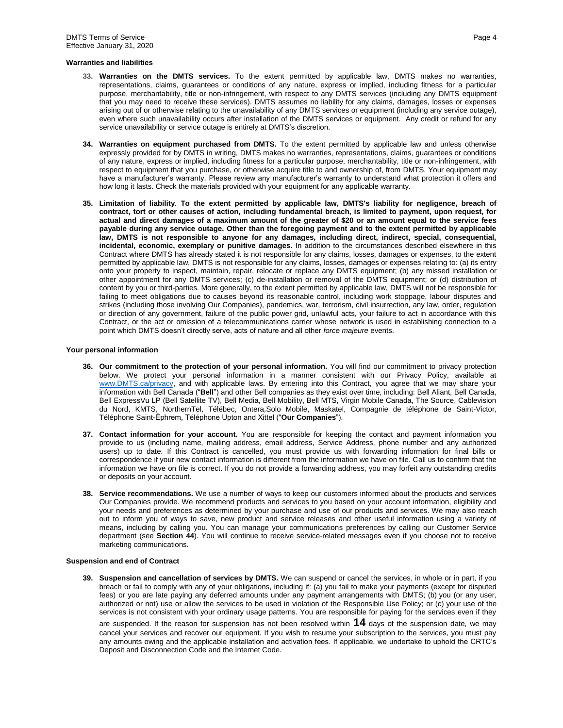#### **Warranties and liabilities**

- **33. Warranties on the DMTS services.** To the extent permitted by applicable law, DMTS makes no warranties, representations, claims, guarantees or conditions of any nature, express or implied, including fitness for a particular purpose, merchantability, title or non-infringement, with respect to any DMTS services (including any DMTS equipment that you may need to receive these services). DMTS assumes no liability for any claims, damages, losses or expenses arising out of or otherwise relating to the unavailability of any DMTS services or equipment (including any service outage), even where such unavailability occurs after installation of the DMTS services or equipment. Any credit or refund for any service unavailability or service outage is entirely at DMTS's discretion.
- **34. Warranties on equipment purchased from DMTS.** To the extent permitted by applicable law and unless otherwise expressly provided for by DMTS in writing, DMTS makes no warranties, representations, claims, guarantees or conditions of any nature, express or implied, including fitness for a particular purpose, merchantability, title or non-infringement, with respect to equipment that you purchase, or otherwise acquire title to and ownership of, from DMTS. Your equipment may have a manufacturer's warranty. Please review any manufacturer's warranty to understand what protection it offers and how long it lasts. Check the materials provided with your equipment for any applicable warranty.
- **35. Limitation of liability**. **To the extent permitted by applicable law, DMTS's liability for negligence, breach of contract, tort or other causes of action, including fundamental breach, is limited to payment, upon request, for actual and direct damages of a maximum amount of the greater of \$20 or an amount equal to the service fees payable during any service outage. Other than the foregoing payment and to the extent permitted by applicable law, DMTS is not responsible to anyone for any damages, including direct, indirect, special, consequential, incidental, economic, exemplary or punitive damages.** In addition to the circumstances described elsewhere in this Contract where DMTS has already stated it is not responsible for any claims, losses, damages or expenses, to the extent permitted by applicable law, DMTS is not responsible for any claims, losses, damages or expenses relating to: (a) its entry onto your property to inspect, maintain, repair, relocate or replace any DMTS equipment; (b) any missed installation or other appointment for any DMTS services; (c) de-installation or removal of the DMTS equipment; or (d) distribution of content by you or third-parties. More generally, to the extent permitted by applicable law, DMTS will not be responsible for failing to meet obligations due to causes beyond its reasonable control, including work stoppage, labour disputes and strikes (including those involving Our Companies), pandemics, war, terrorism, civil insurrection, any law, order, regulation or direction of any government, failure of the public power grid, unlawful acts, your failure to act in accordance with this Contract, or the act or omission of a telecommunications carrier whose network is used in establishing connection to a point which DMTS doesn't directly serve, acts of nature and all other *force majeure* events.

#### **Your personal information**

- **36. Our commitment to the protection of your personal information.** You will find our commitment to privacy protection below. We protect your personal information in a manner consistent with our Privacy Policy, available at [www.DMTS.ca/privacy,](https://www.dmts.ca/privacy) and with applicable laws. By entering into this Contract, you agree that we may share your information with Bell Canada ("**Bell**") and other Bell companies as they exist over time, including: Bell Aliant, Bell Canada, Bell ExpressVu LP (Bell Satellite TV), Bell Media, Bell Mobility, Bell MTS, Virgin Mobile Canada, The Source, Cablevision du Nord, KMTS, NorthernTel, Télébec, Ontera,Solo Mobile, Maskatel, Compagnie de téléphone de Saint-Victor, Téléphone Saint-Éphrem, Téléphone Upton and Xittel ("**Our Companies**").
- <span id="page-3-1"></span>**37. Contact information for your account.** You are responsible for keeping the contact and payment information you provide to us (including name, mailing address, email address, Service Address, phone number and any authorized users) up to date. If this Contract is cancelled, you must provide us with forwarding information for final bills or correspondence if your new contact information is different from the information we have on file. Call us to confirm that the information we have on file is correct. If you do not provide a forwarding address, you may forfeit any outstanding credits or deposits on your account.
- **38. Service recommendations.** We use a number of ways to keep our customers informed about the products and services Our Companies provide. We recommend products and services to you based on your account information, eligibility and your needs and preferences as determined by your purchase and use of our products and services. We may also reach out to inform you of ways to save, new product and service releases and other useful information using a variety of means, including by calling you. You can manage your communications preferences by calling our Customer Service department (see **Section 44**). You will continue to receive service-related messages even if you choose not to receive marketing communications.

#### <span id="page-3-0"></span>**Suspension and end of Contract**

**39. Suspension and cancellation of services by DMTS.** We can suspend or cancel the services, in whole or in part, if you breach or fail to comply with any of your obligations, including if: (a) you fail to make your payments (except for disputed fees) or you are late paying any deferred amounts under any payment arrangements with DMTS; (b) you (or any user, authorized or not) use or allow the services to be used in violation of the Responsible Use Policy; or (c) your use of the services is not consistent with your ordinary usage patterns. You are responsible for paying for the services even if they

are suspended. If the reason for suspension has not been resolved within **14** days of the suspension date, we may cancel your services and recover our equipment. If you wish to resume your subscription to the services, you must pay any amounts owing and the applicable installation and activation fees. If applicable, we undertake to uphold the CRTC's Deposit and Disconnection Code and the Internet Code.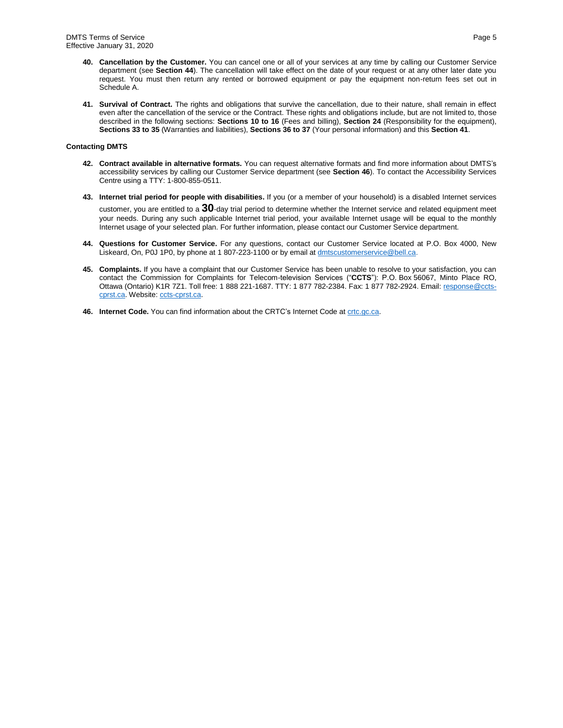- **40. Cancellation by the Customer.** You can cancel one or all of your services at any time by calling our Customer Service department (see **Section 44**). The cancellation will take effect on the date of your request or at any other later date you request. You must then return any rented or borrowed equipment or pay the equipment non-return fees set out in Schedule A.
- **41. Survival of Contract.** The rights and obligations that survive the cancellation, due to their nature, shall remain in effect even after the cancellation of the service or the Contract. These rights and obligations include, but are not limited to, those described in the following sections: **Section[s 10](#page-0-0) t[o 16](#page-1-0)** (Fees and billing), **Section [24](#page-2-1)** (Responsibility for the equipment), **Sections 33 to 35** (Warranties and liabilities), **Sections 36 t[o 37](#page-3-1)** (Your personal information) and this **Section 41**.

## **Contacting DMTS**

- **42. Contract available in alternative formats.** You can request alternative formats and find more information about DMTS's accessibility services by calling our Customer Service department (see **Section 46**). To contact the Accessibility Services Centre using a TTY: 1-800-855-0511.
- **43. Internet trial period for people with disabilities.** If you (or a member of your household) is a disabled Internet services customer, you are entitled to a **30**-day trial period to determine whether the Internet service and related equipment meet your needs. During any such applicable Internet trial period, your available Internet usage will be equal to the monthly Internet usage of your selected plan. For further information, please contact our Customer Service department.
- **44. Questions for Customer Service.** For any questions, contact our Customer Service located at P.O. Box 4000, New Liskeard, On, P0J 1P0, by phone at 1 807-223-1100 or by email at [dmtscustomerservice@bell.ca.](mailto:dmtscustomerservice@bell.ca)
- **45. Complaints.** If you have a complaint that our Customer Service has been unable to resolve to your satisfaction, you can contact the Commission for Complaints for Telecom-television Services ("**CCTS**"): P.O. Box 56067, Minto Place RO, Ottawa (Ontario) K1R 7Z1. Toll free: 1 888 221-1687. TTY: 1 877 782-2384. Fax: 1 877 782-2924. Email[: response@ccts](mailto:response@ccts-cprst.ca)[cprst.ca.](mailto:response@ccts-cprst.ca) Website: [ccts-cprst.ca.](https://www.ccts-cprst.ca/)
- 46. Internet Code. You can find information about the CRTC's Internet Code at **crtc.gc.ca**.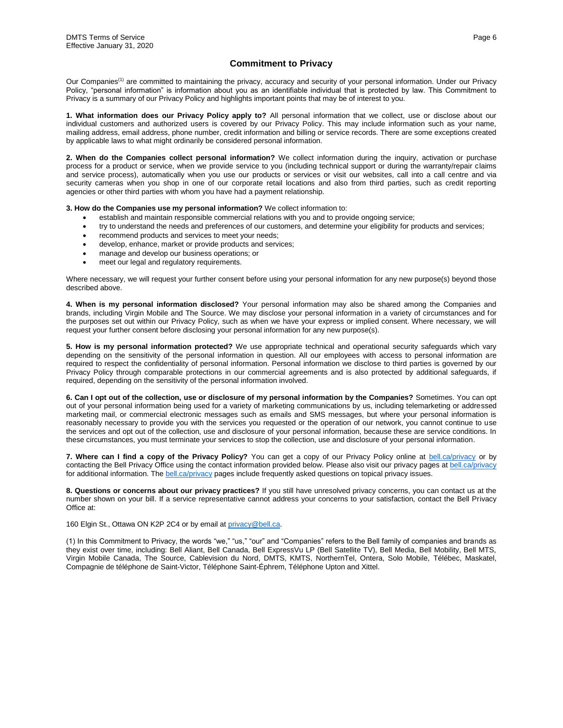# **Commitment to Privacy**

Our Companies<sup>(1)</sup> are committed to maintaining the privacy, accuracy and security of your personal information. Under our Privacy Policy, "personal information" is information about you as an identifiable individual that is protected by law. This Commitment to Privacy is a summary of our Privacy Policy and highlights important points that may be of interest to you.

**1. What information does our Privacy Policy apply to?** All personal information that we collect, use or disclose about our individual customers and authorized users is covered by our Privacy Policy. This may include information such as your name, mailing address, email address, phone number, credit information and billing or service records. There are some exceptions created by applicable laws to what might ordinarily be considered personal information.

**2. When do the Companies collect personal information?** We collect information during the inquiry, activation or purchase process for a product or service, when we provide service to you (including technical support or during the warranty/repair claims and service process), automatically when you use our products or services or visit our websites, call into a call centre and via security cameras when you shop in one of our corporate retail locations and also from third parties, such as credit reporting agencies or other third parties with whom you have had a payment relationship.

**3. How do the Companies use my personal information?** We collect information to:

- establish and maintain responsible commercial relations with you and to provide ongoing service;
- try to understand the needs and preferences of our customers, and determine your eligibility for products and services;
- recommend products and services to meet your needs;
- develop, enhance, market or provide products and services;
- manage and develop our business operations; or
- meet our legal and regulatory requirements.

Where necessary, we will request your further consent before using your personal information for any new purpose(s) beyond those described above.

**4. When is my personal information disclosed?** Your personal information may also be shared among the Companies and brands, including Virgin Mobile and The Source. We may disclose your personal information in a variety of circumstances and for the purposes set out within our Privacy Policy, such as when we have your express or implied consent. Where necessary, we will request your further consent before disclosing your personal information for any new purpose(s).

**5. How is my personal information protected?** We use appropriate technical and operational security safeguards which vary depending on the sensitivity of the personal information in question. All our employees with access to personal information are required to respect the confidentiality of personal information. Personal information we disclose to third parties is governed by our Privacy Policy through comparable protections in our commercial agreements and is also protected by additional safeguards, if required, depending on the sensitivity of the personal information involved.

**6. Can I opt out of the collection, use or disclosure of my personal information by the Companies?** Sometimes. You can opt out of your personal information being used for a variety of marketing communications by us, including telemarketing or addressed marketing mail, or commercial electronic messages such as emails and SMS messages, but where your personal information is reasonably necessary to provide you with the services you requested or the operation of our network, you cannot continue to use the services and opt out of the collection, use and disclosure of your personal information, because these are service conditions. In these circumstances, you must terminate your services to stop the collection, use and disclosure of your personal information.

**7. Where can I find a copy of the Privacy Policy?** You can get a copy of our Privacy Policy online at [bell.ca/privacy](https://www.bell.ca/privacy) or by contacting the Bell Privacy Office using the contact information provided below. Please also visit our privacy pages a[t bell.ca/privacy](https://www.bell.ca/privacy) for additional information. The **bell.ca/privacy** pages include frequently asked questions on topical privacy issues.

**8. Questions or concerns about our privacy practices?** If you still have unresolved privacy concerns, you can contact us at the number shown on your bill. If a service representative cannot address your concerns to your satisfaction, contact the Bell Privacy Office at:

160 Elgin St., Ottawa ON K2P 2C4 or by email at [privacy@bell.ca.](mailto:privacy@bell.ca)

(1) In this Commitment to Privacy, the words "we," "us," "our" and "Companies" refers to the Bell family of companies and brands as they exist over time, including: Bell Aliant, Bell Canada, Bell ExpressVu LP (Bell Satellite TV), Bell Media, Bell Mobility, Bell MTS, Virgin Mobile Canada, The Source, Cablevision du Nord, DMTS, KMTS, NorthernTel, Ontera, Solo Mobile, Télébec, Maskatel, Compagnie de téléphone de Saint-Victor, Téléphone Saint-Éphrem, Téléphone Upton and Xittel.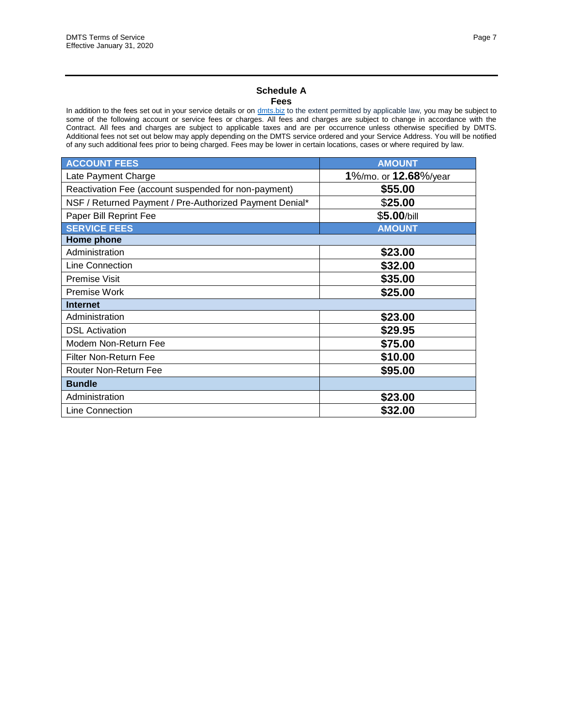## **Schedule A Fees**

In addition to the fees set out in your service details or on [dmts.biz](https://www.dmts.biz/) to the extent permitted by applicable law, you may be subject to some of the following account or service fees or charges. All fees and charges are subject to change in accordance with the Contract. All fees and charges are subject to applicable taxes and are per occurrence unless otherwise specified by DMTS. Additional fees not set out below may apply depending on the DMTS service ordered and your Service Address. You will be notified of any such additional fees prior to being charged. Fees may be lower in certain locations, cases or where required by law.

| <b>ACCOUNT FEES</b>                                     | <b>AMOUNT</b>         |
|---------------------------------------------------------|-----------------------|
| Late Payment Charge                                     | 1%/mo. or 12.68%/year |
| Reactivation Fee (account suspended for non-payment)    | \$55.00               |
| NSF / Returned Payment / Pre-Authorized Payment Denial* | \$25.00               |
| Paper Bill Reprint Fee                                  | \$5.00/bill           |
| <b>SERVICE FEES</b>                                     | <b>AMOUNT</b>         |
| Home phone                                              |                       |
| Administration                                          | \$23.00               |
| Line Connection                                         | \$32.00               |
| Premise Visit                                           | \$35.00               |
| Premise Work                                            | \$25.00               |
| <b>Internet</b>                                         |                       |
| Administration                                          | \$23.00               |
| <b>DSL Activation</b>                                   | \$29.95               |
| Modem Non-Return Fee                                    | \$75.00               |
| <b>Filter Non-Return Fee</b>                            | \$10.00               |
| Router Non-Return Fee                                   | \$95.00               |
| <b>Bundle</b>                                           |                       |
| Administration                                          | \$23.00               |
| Line Connection                                         | \$32.00               |